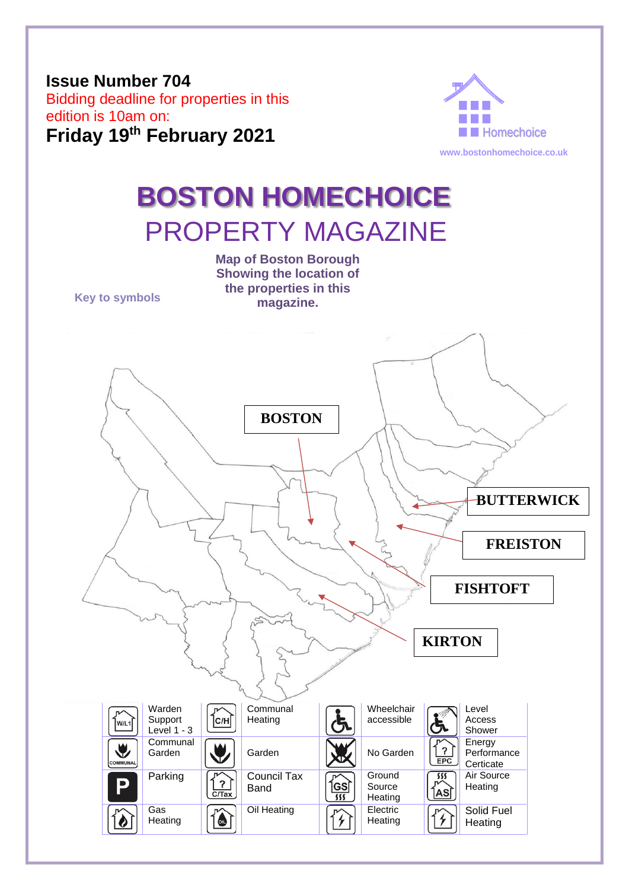## **Issue Number 704**  Bidding deadline for properties in this edition is 10am on: **Friday 19th February 2021**



# **BOSTON HOMECHOICE** PROPERTY MAGAZINE

**Map of Boston Borough Showing the location of** 

**the properties in this Key to symbols magazine. BOSTON BUTTERWICK FREISTONFISHTOFT KIRTON** Warden Communal Wheelchair Level  $\overline{C/H}$ **Heating** Access Support accessible w/L1 Level  $1 - 3$ Shower **Communal Energy**  $\blacklozenge$ Garden  $\|\mathbf{U}\|$  Garden  $\|\mathbf{U}\|$  No Garden  $\overline{\phantom{0}}$ **Performance FPC** OMMUNA **Certicate** Parking <sub>1</sub> Council Tax **Ground** Air Source  $555$ P **ÍGS** Band Source **Heating** ÍASÌ  $\overline{C/Ta}$  $555$ **Heating** Oil Heating **TARK** Electric Solid Fuel Gas  $\bullet$ 4 Ò **Heating Heating Heating**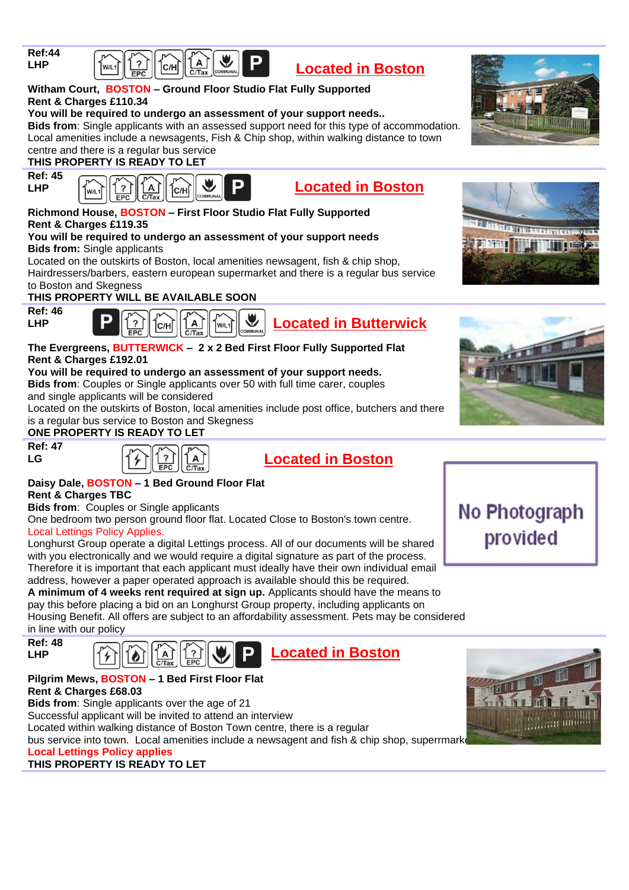

| $\left \frac{1}{\ln 2}\right  \left \frac{1}{\ln 2}\right  \left \frac{1}{\ln 2}\right  \left \frac{1}{\ln 2}\right  \left \frac{1}{\ln 2}\right $ |  |  |  |  |  |  |
|----------------------------------------------------------------------------------------------------------------------------------------------------|--|--|--|--|--|--|
|----------------------------------------------------------------------------------------------------------------------------------------------------|--|--|--|--|--|--|

#### **Witham Court, BOSTON – Ground Floor Studio Flat Fully Supported Rent & Charges £110.34**

#### **You will be required to undergo an assessment of your support needs..**

**Bids from**: Single applicants with an assessed support need for this type of accommodation. Local amenities include a newsagents, Fish & Chip shop, within walking distance to town centre and there is a regular bus service

#### **THIS PROPERTY IS READY TO LET**

**Ref: 45 LHP**



|--|--|

**Located in Boston**

#### **Richmond House, BOSTON – First Floor Studio Flat Fully Supported Rent & Charges £119.35**

#### **You will be required to undergo an assessment of your support needs Bids from:** Single applicants

Located on the outskirts of Boston, local amenities newsagent, fish & chip shop, Hairdressers/barbers, eastern european supermarket and there is a regular bus service to Boston and Skegness

#### **THIS PROPERTY WILL BE AVAILABLE SOON**



#### $C/H$  $W/I$

#### **The Evergreens, BUTTERWICK – 2 x 2 Bed First Floor Fully Supported Flat Rent & Charges £192.01**

#### **You will be required to undergo an assessment of your support needs.**

**Bids from**: Couples or Single applicants over 50 with full time carer, couples and single applicants will be considered

Located on the outskirts of Boston, local amenities include post office, butchers and there is a regular bus service to Boston and Skegness

#### **ONE PROPERTY IS READY TO LET**







#### **Daisy Dale, BOSTON – 1 Bed Ground Floor Flat Rent & Charges TBC**

**Bids from**: Couples or Single applicants

One bedroom two person ground floor flat. Located Close to Boston's town centre. Local Lettings Policy Applies.

Longhurst Group operate a digital Lettings process. All of our documents will be shared with you electronically and we would require a digital signature as part of the process. Therefore it is important that each applicant must ideally have their own individual email address, however a paper operated approach is available should this be required.

**A minimum of 4 weeks rent required at sign up.** Applicants should have the means to pay this before placing a bid on an Longhurst Group property, including applicants on Housing Benefit. All offers are subject to an affordability assessment. Pets may be considered in line with our policy





#### **Pilgrim Mews, BOSTON – 1 Bed First Floor Flat Rent & Charges £68.03**

**Bids from**: Single applicants over the age of 21

Successful applicant will be invited to attend an interview

Located within walking distance of Boston Town centre, there is a regular

bus service into town. Local amenities include a newsagent and fish & chip shop, superrmark

### **Local Lettings Policy applies**

### **THIS PROPERTY IS READY TO LET**









**Located in Butterwick**

No Photograph provided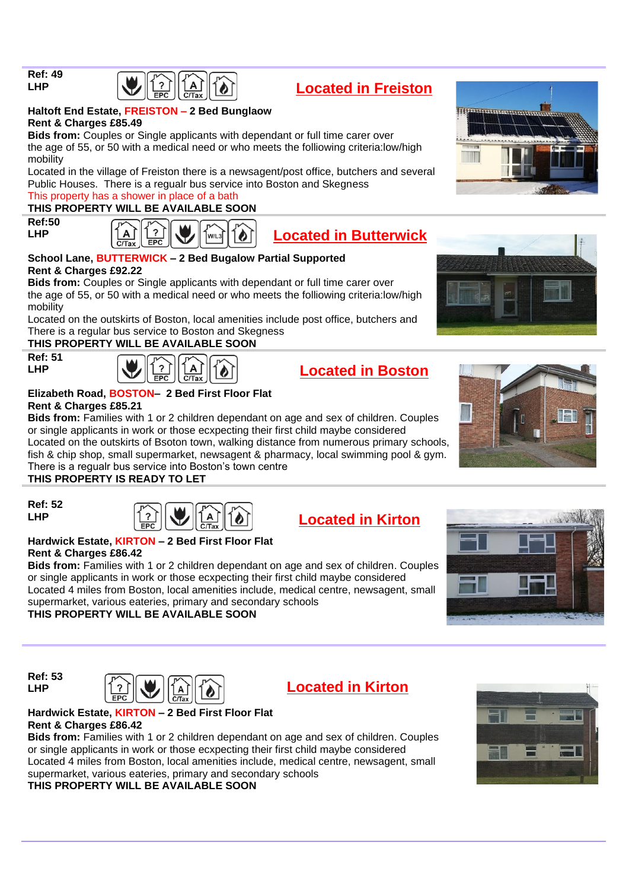**Ref: 49 LHP**



#### **Haltoft End Estate, FREISTON – 2 Bed Bunglaow Rent & Charges £85.49**

**Bids from:** Couples or Single applicants with dependant or full time carer over the age of 55, or 50 with a medical need or who meets the folliowing criteria:low/high mobility

Located in the village of Freiston there is a newsagent/post office, butchers and several Public Houses. There is a regualr bus service into Boston and Skegness

#### This property has a shower in place of a bath **THIS PROPERTY WILL BE AVAILABLE SOON**

**Ref:50 LHP**





**Located in Freiston**

#### **School Lane, BUTTERWICK – 2 Bed Bugalow Partial Supported Rent & Charges £92.22**

**Bids from:** Couples or Single applicants with dependant or full time carer over the age of 55, or 50 with a medical need or who meets the folliowing criteria:low/high mobility

Located on the outskirts of Boston, local amenities include post office, butchers and There is a regular bus service to Boston and Skegness

#### **THIS PROPERTY WILL BE AVAILABLE SOON**

**Ref: 51 LHP**



| cated in B |  |
|------------|--|
|            |  |

# **Elizabeth Road, BOSTON– 2 Bed First Floor Flat**

**Rent & Charges £85.21**

**Bids from:** Families with 1 or 2 children dependant on age and sex of children. Couples or single applicants in work or those ecxpecting their first child maybe considered Located on the outskirts of Bsoton town, walking distance from numerous primary schools,

fish & chip shop, small supermarket, newsagent & pharmacy, local swimming pool & gym. There is a regualr bus service into Boston's town centre

### **THIS PROPERTY IS READY TO LET**

**Ref: 52 LHP**



# **Located in Kirton**

#### **Hardwick Estate, KIRTON – 2 Bed First Floor Flat Rent & Charges £86.42**

**Bids from:** Families with 1 or 2 children dependant on age and sex of children. Couples or single applicants in work or those ecxpecting their first child maybe considered Located 4 miles from Boston, local amenities include, medical centre, newsagent, small supermarket, various eateries, primary and secondary schools

**THIS PROPERTY WILL BE AVAILABLE SOON**

**Ref: 53 LHP**





#### **Hardwick Estate, KIRTON – 2 Bed First Floor Flat Rent & Charges £86.42**

**Bids from:** Families with 1 or 2 children dependant on age and sex of children. Couples or single applicants in work or those ecxpecting their first child maybe considered Located 4 miles from Boston, local amenities include, medical centre, newsagent, small supermarket, various eateries, primary and secondary schools

#### **THIS PROPERTY WILL BE AVAILABLE SOON**







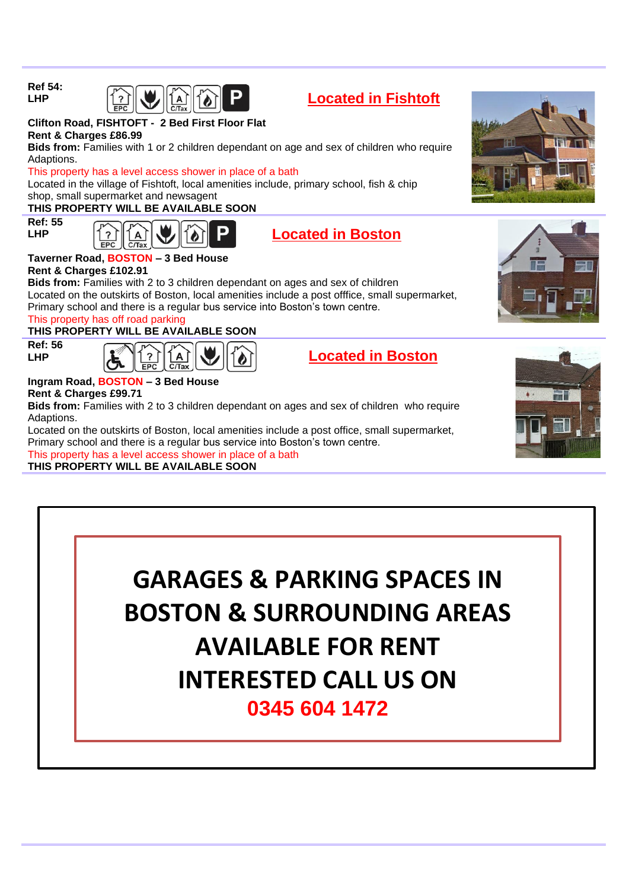



#### **Clifton Road, FISHTOFT - 2 Bed First Floor Flat Rent & Charges £86.99**

**Bids from:** Families with 1 or 2 children dependant on age and sex of children who require Adaptions.

#### This property has a level access shower in place of a bath

Located in the village of Fishtoft, local amenities include, primary school, fish & chip shop, small supermarket and newsagent

#### **THIS PROPERTY WILL BE AVAILABLE SOON**

**Ref: 55 LHP**





#### **Taverner Road, BOSTON – 3 Bed House Rent & Charges £102.91**

**Bids from:** Families with 2 to 3 children dependant on ages and sex of children Located on the outskirts of Boston, local amenities include a post offfice, small supermarket, Primary school and there is a regular bus service into Boston's town centre.

#### This property has off road parking

#### **THIS PROPERTY WILL BE AVAILABLE SOON**

**Ref: 56 LHP**



**Located in Boston**

#### **Ingram Road, BOSTON – 3 Bed House Rent & Charges £99.71**

**Bids from:** Families with 2 to 3 children dependant on ages and sex of children who require Adaptions.

Located on the outskirts of Boston, local amenities include a post office, small supermarket, Primary school and there is a regular bus service into Boston's town centre. This property has a level access shower in place of a bath

**THIS PROPERTY WILL BE AVAILABLE SOON**









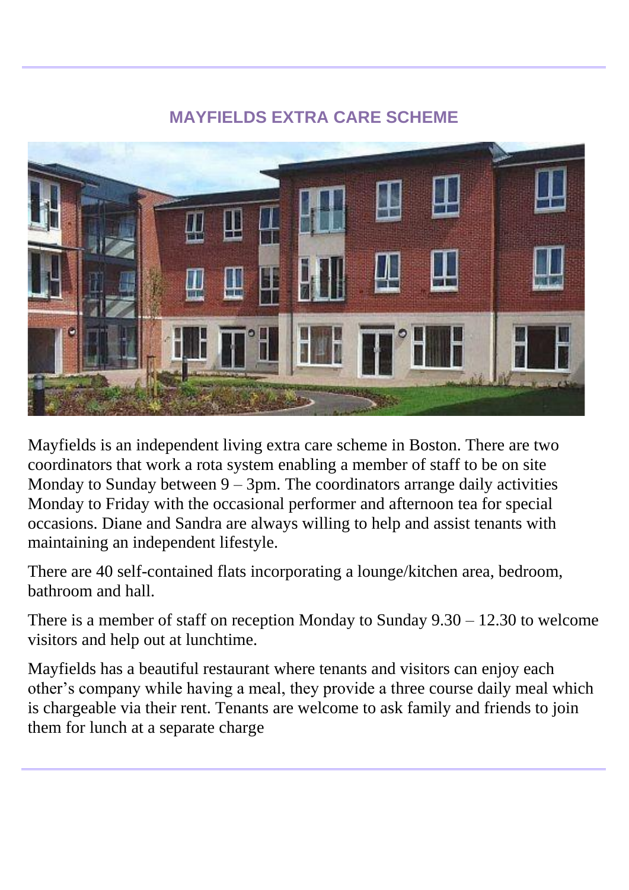# **MAYFIELDS EXTRA CARE SCHEME**



Mayfields is an independent living extra care scheme in Boston. There are two coordinators that work a rota system enabling a member of staff to be on site Monday to Sunday between  $9 - 3$ pm. The coordinators arrange daily activities Monday to Friday with the occasional performer and afternoon tea for special occasions. Diane and Sandra are always willing to help and assist tenants with maintaining an independent lifestyle.

There are 40 self-contained flats incorporating a lounge/kitchen area, bedroom, bathroom and hall.

There is a member of staff on reception Monday to Sunday 9.30 – 12.30 to welcome visitors and help out at lunchtime.

Mayfields has a beautiful restaurant where tenants and visitors can enjoy each other's company while having a meal, they provide a three course daily meal which is chargeable via their rent. Tenants are welcome to ask family and friends to join them for lunch at a separate charge